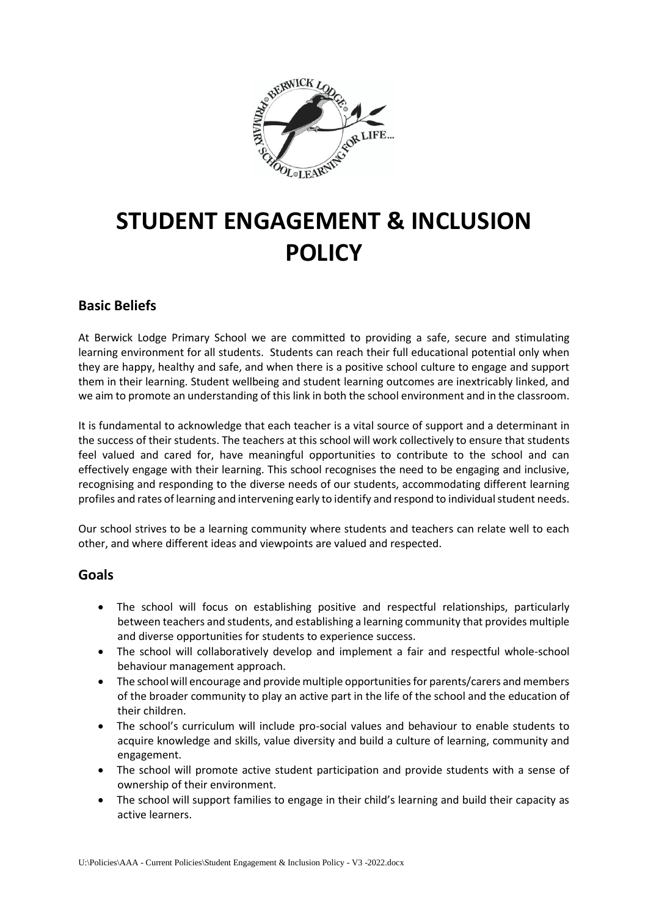

# **STUDENT ENGAGEMENT & INCLUSION POLICY**

## **Basic Beliefs**

At Berwick Lodge Primary School we are committed to providing a safe, secure and stimulating learning environment for all students. Students can reach their full educational potential only when they are happy, healthy and safe, and when there is a positive school culture to engage and support them in their learning. Student wellbeing and student learning outcomes are inextricably linked, and we aim to promote an understanding of this link in both the school environment and in the classroom.

It is fundamental to acknowledge that each teacher is a vital source of support and a determinant in the success of their students. The teachers at this school will work collectively to ensure that students feel valued and cared for, have meaningful opportunities to contribute to the school and can effectively engage with their learning. This school recognises the need to be engaging and inclusive, recognising and responding to the diverse needs of our students, accommodating different learning profiles and rates of learning and intervening early to identify and respond to individual student needs.

Our school strives to be a learning community where students and teachers can relate well to each other, and where different ideas and viewpoints are valued and respected.

### **Goals**

- The school will focus on establishing positive and respectful relationships, particularly between teachers and students, and establishing a learning community that provides multiple and diverse opportunities for students to experience success.
- The school will collaboratively develop and implement a fair and respectful whole-school behaviour management approach.
- The school will encourage and provide multiple opportunities for parents/carers and members of the broader community to play an active part in the life of the school and the education of their children.
- The school's curriculum will include pro-social values and behaviour to enable students to acquire knowledge and skills, value diversity and build a culture of learning, community and engagement.
- The school will promote active student participation and provide students with a sense of ownership of their environment.
- The school will support families to engage in their child's learning and build their capacity as active learners.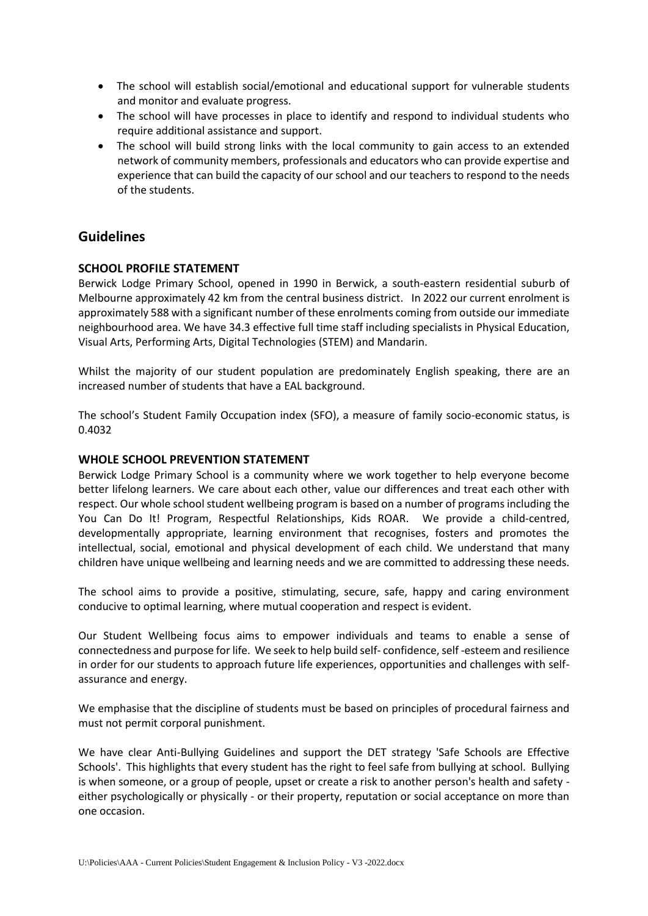- The school will establish social/emotional and educational support for vulnerable students and monitor and evaluate progress.
- The school will have processes in place to identify and respond to individual students who require additional assistance and support.
- The school will build strong links with the local community to gain access to an extended network of community members, professionals and educators who can provide expertise and experience that can build the capacity of our school and our teachers to respond to the needs of the students.

## **Guidelines**

#### **SCHOOL PROFILE STATEMENT**

Berwick Lodge Primary School, opened in 1990 in Berwick, a south-eastern residential suburb of Melbourne approximately 42 km from the central business district. In 2022 our current enrolment is approximately 588 with a significant number of these enrolments coming from outside our immediate neighbourhood area. We have 34.3 effective full time staff including specialists in Physical Education, Visual Arts, Performing Arts, Digital Technologies (STEM) and Mandarin.

Whilst the majority of our student population are predominately English speaking, there are an increased number of students that have a EAL background.

The school's Student Family Occupation index (SFO), a measure of family socio-economic status, is 0.4032

#### **WHOLE SCHOOL PREVENTION STATEMENT**

Berwick Lodge Primary School is a community where we work together to help everyone become better lifelong learners. We care about each other, value our differences and treat each other with respect. Our whole school student wellbeing program is based on a number of programs including the You Can Do It! Program, Respectful Relationships, Kids ROAR. We provide a child-centred, developmentally appropriate, learning environment that recognises, fosters and promotes the intellectual, social, emotional and physical development of each child. We understand that many children have unique wellbeing and learning needs and we are committed to addressing these needs.

The school aims to provide a positive, stimulating, secure, safe, happy and caring environment conducive to optimal learning, where mutual cooperation and respect is evident.

Our Student Wellbeing focus aims to empower individuals and teams to enable a sense of connectedness and purpose for life. We seek to help build self- confidence, self -esteem and resilience in order for our students to approach future life experiences, opportunities and challenges with selfassurance and energy.

We emphasise that the discipline of students must be based on principles of procedural fairness and must not permit corporal punishment.

We have clear Anti-Bullying Guidelines and support the DET strategy 'Safe Schools are Effective Schools'. This highlights that every student has the right to feel safe from bullying at school. Bullying is when someone, or a group of people, upset or create a risk to another person's health and safety either psychologically or physically - or their property, reputation or social acceptance on more than one occasion.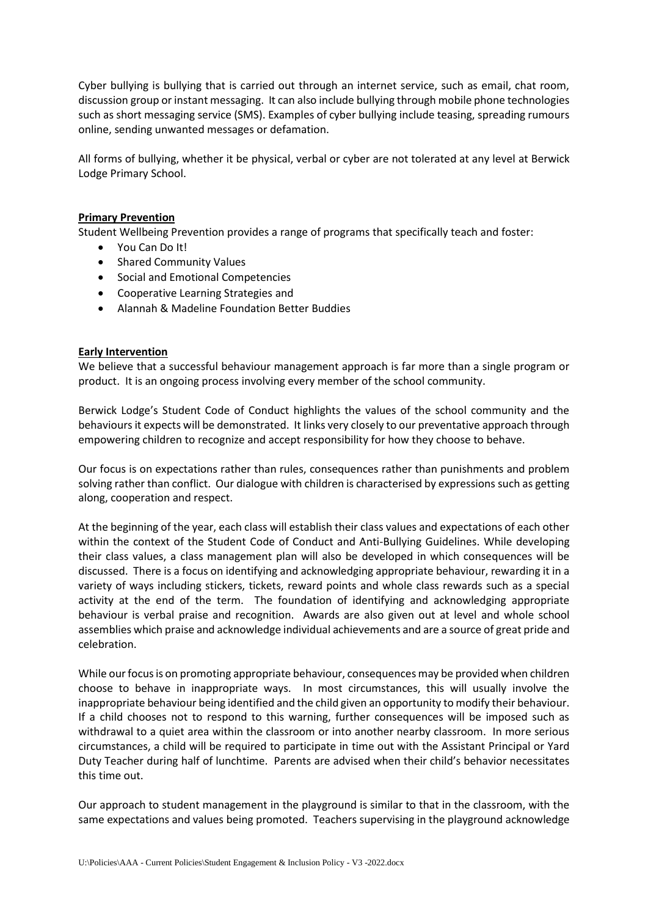Cyber bullying is bullying that is carried out through an internet service, such as email, chat room, discussion group or instant messaging. It can also include bullying through mobile phone technologies such as short messaging service (SMS). Examples of cyber bullying include teasing, spreading rumours online, sending unwanted messages or defamation.

All forms of bullying, whether it be physical, verbal or cyber are not tolerated at any level at Berwick Lodge Primary School.

#### **Primary Prevention**

Student Wellbeing Prevention provides a range of programs that specifically teach and foster:

- You Can Do It!
- Shared Community Values
- Social and Emotional Competencies
- Cooperative Learning Strategies and
- Alannah & Madeline Foundation Better Buddies

#### **Early Intervention**

We believe that a successful behaviour management approach is far more than a single program or product. It is an ongoing process involving every member of the school community.

Berwick Lodge's Student Code of Conduct highlights the values of the school community and the behaviours it expects will be demonstrated. It links very closely to our preventative approach through empowering children to recognize and accept responsibility for how they choose to behave.

Our focus is on expectations rather than rules, consequences rather than punishments and problem solving rather than conflict. Our dialogue with children is characterised by expressions such as getting along, cooperation and respect.

At the beginning of the year, each class will establish their class values and expectations of each other within the context of the Student Code of Conduct and Anti-Bullying Guidelines. While developing their class values, a class management plan will also be developed in which consequences will be discussed. There is a focus on identifying and acknowledging appropriate behaviour, rewarding it in a variety of ways including stickers, tickets, reward points and whole class rewards such as a special activity at the end of the term. The foundation of identifying and acknowledging appropriate behaviour is verbal praise and recognition. Awards are also given out at level and whole school assemblies which praise and acknowledge individual achievements and are a source of great pride and celebration.

While our focus is on promoting appropriate behaviour, consequences may be provided when children choose to behave in inappropriate ways. In most circumstances, this will usually involve the inappropriate behaviour being identified and the child given an opportunity to modify their behaviour. If a child chooses not to respond to this warning, further consequences will be imposed such as withdrawal to a quiet area within the classroom or into another nearby classroom. In more serious circumstances, a child will be required to participate in time out with the Assistant Principal or Yard Duty Teacher during half of lunchtime. Parents are advised when their child's behavior necessitates this time out.

Our approach to student management in the playground is similar to that in the classroom, with the same expectations and values being promoted. Teachers supervising in the playground acknowledge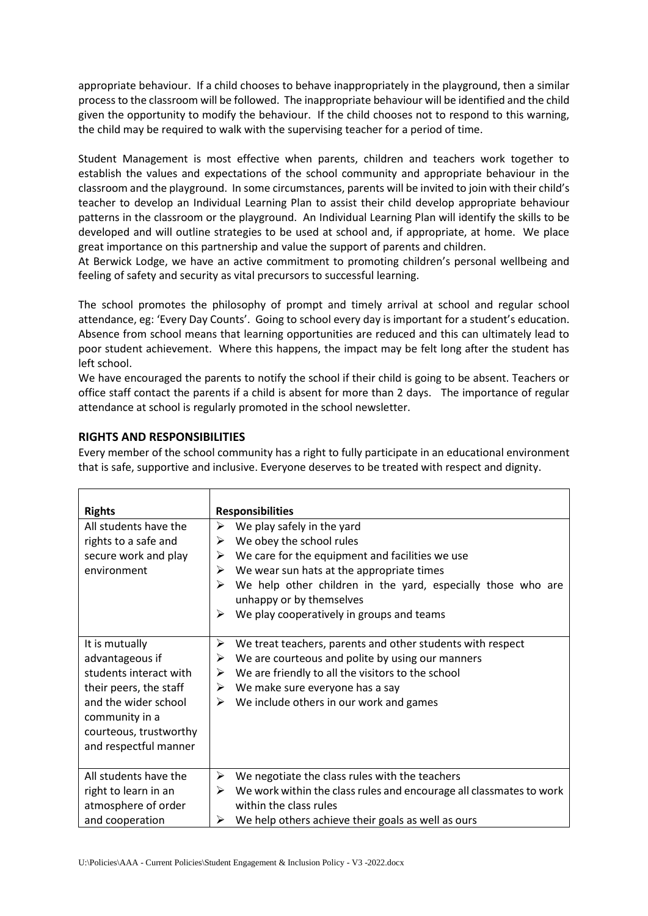appropriate behaviour. If a child chooses to behave inappropriately in the playground, then a similar process to the classroom will be followed. The inappropriate behaviour will be identified and the child given the opportunity to modify the behaviour. If the child chooses not to respond to this warning, the child may be required to walk with the supervising teacher for a period of time.

Student Management is most effective when parents, children and teachers work together to establish the values and expectations of the school community and appropriate behaviour in the classroom and the playground. In some circumstances, parents will be invited to join with their child's teacher to develop an Individual Learning Plan to assist their child develop appropriate behaviour patterns in the classroom or the playground. An Individual Learning Plan will identify the skills to be developed and will outline strategies to be used at school and, if appropriate, at home. We place great importance on this partnership and value the support of parents and children.

At Berwick Lodge, we have an active commitment to promoting children's personal wellbeing and feeling of safety and security as vital precursors to successful learning.

The school promotes the philosophy of prompt and timely arrival at school and regular school attendance, eg: 'Every Day Counts'. Going to school every day is important for a student's education. Absence from school means that learning opportunities are reduced and this can ultimately lead to poor student achievement. Where this happens, the impact may be felt long after the student has left school.

We have encouraged the parents to notify the school if their child is going to be absent. Teachers or office staff contact the parents if a child is absent for more than 2 days. The importance of regular attendance at school is regularly promoted in the school newsletter.

#### **RIGHTS AND RESPONSIBILITIES**

Every member of the school community has a right to fully participate in an educational environment that is safe, supportive and inclusive. Everyone deserves to be treated with respect and dignity.

| <b>Rights</b>                                                                                                                                                                      | <b>Responsibilities</b>                                                                                                                                                                                                                                                                                                       |
|------------------------------------------------------------------------------------------------------------------------------------------------------------------------------------|-------------------------------------------------------------------------------------------------------------------------------------------------------------------------------------------------------------------------------------------------------------------------------------------------------------------------------|
| All students have the<br>rights to a safe and<br>secure work and play<br>environment                                                                                               | We play safely in the yard<br>➤<br>We obey the school rules<br>➤<br>We care for the equipment and facilities we use<br>➤<br>We wear sun hats at the appropriate times<br>➤<br>We help other children in the yard, especially those who are<br>➤<br>unhappy or by themselves<br>We play cooperatively in groups and teams<br>➤ |
| It is mutually<br>advantageous if<br>students interact with<br>their peers, the staff<br>and the wider school<br>community in a<br>courteous, trustworthy<br>and respectful manner | We treat teachers, parents and other students with respect<br>➤<br>We are courteous and polite by using our manners<br>➤<br>We are friendly to all the visitors to the school<br>➤<br>We make sure everyone has a say<br>➤<br>We include others in our work and games<br>➤                                                    |
| All students have the<br>right to learn in an<br>atmosphere of order<br>and cooperation                                                                                            | ➤<br>We negotiate the class rules with the teachers<br>We work within the class rules and encourage all classmates to work<br>➤<br>within the class rules<br>We help others achieve their goals as well as ours<br>➤                                                                                                          |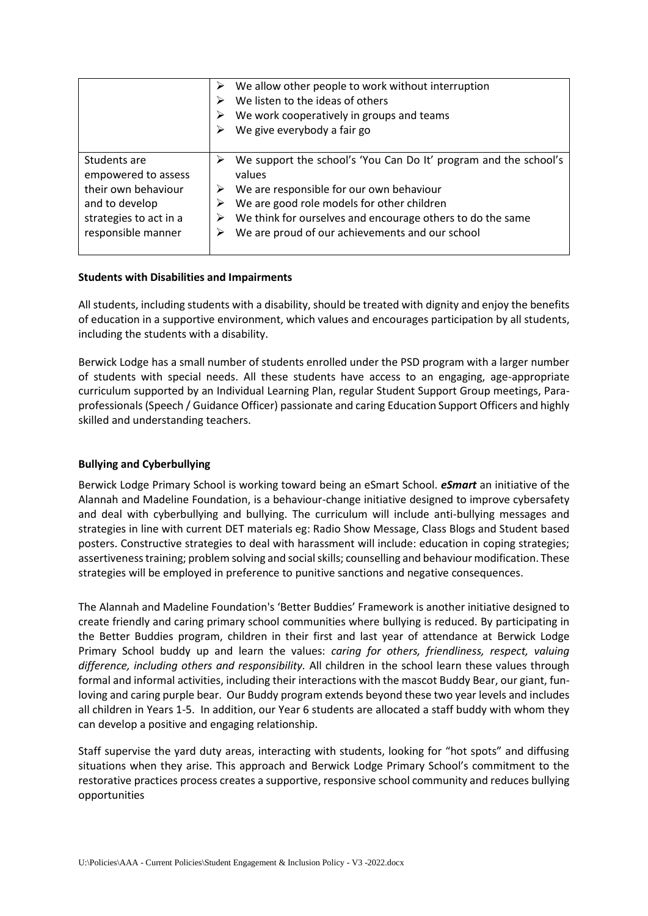|                        |   | We allow other people to work without interruption               |
|------------------------|---|------------------------------------------------------------------|
|                        |   | We listen to the ideas of others                                 |
|                        |   | We work cooperatively in groups and teams                        |
|                        |   | We give everybody a fair go                                      |
|                        |   |                                                                  |
| Students are           | ⋗ | We support the school's 'You Can Do It' program and the school's |
| empowered to assess    |   | values                                                           |
| their own behaviour    | ➤ | We are responsible for our own behaviour                         |
| and to develop         |   | We are good role models for other children                       |
| strategies to act in a | ➤ | We think for ourselves and encourage others to do the same       |
| responsible manner     |   | We are proud of our achievements and our school                  |
|                        |   |                                                                  |

#### **Students with Disabilities and Impairments**

All students, including students with a disability, should be treated with dignity and enjoy the benefits of education in a supportive environment, which values and encourages participation by all students, including the students with a disability.

Berwick Lodge has a small number of students enrolled under the PSD program with a larger number of students with special needs. All these students have access to an engaging, age-appropriate curriculum supported by an Individual Learning Plan, regular Student Support Group meetings, Paraprofessionals (Speech / Guidance Officer) passionate and caring Education Support Officers and highly skilled and understanding teachers.

#### **Bullying and Cyberbullying**

Berwick Lodge Primary School is working toward being an eSmart School. *eSmart* an initiative of the Alannah and Madeline Foundation, is a behaviour-change initiative designed to improve cybersafety and deal with cyberbullying and bullying. The curriculum will include anti-bullying messages and strategies in line with current DET materials eg: Radio Show Message, Class Blogs and Student based posters. Constructive strategies to deal with harassment will include: education in coping strategies; assertiveness training; problem solving and social skills; counselling and behaviour modification. These strategies will be employed in preference to punitive sanctions and negative consequences.

The Alannah and Madeline Foundation's 'Better Buddies' Framework is another initiative designed to create friendly and caring primary school communities where bullying is reduced. By participating in the Better Buddies program, children in their first and last year of attendance at Berwick Lodge Primary School buddy up and learn the values: *caring for others, friendliness, respect, valuing difference, including others and responsibility.* All children in the school learn these values through formal and informal activities, including their interactions with the mascot Buddy Bear, our giant, funloving and caring purple bear. Our Buddy program extends beyond these two year levels and includes all children in Years 1-5. In addition, our Year 6 students are allocated a staff buddy with whom they can develop a positive and engaging relationship.

Staff supervise the yard duty areas, interacting with students, looking for "hot spots" and diffusing situations when they arise. This approach and Berwick Lodge Primary School's commitment to the restorative practices process creates a supportive, responsive school community and reduces bullying opportunities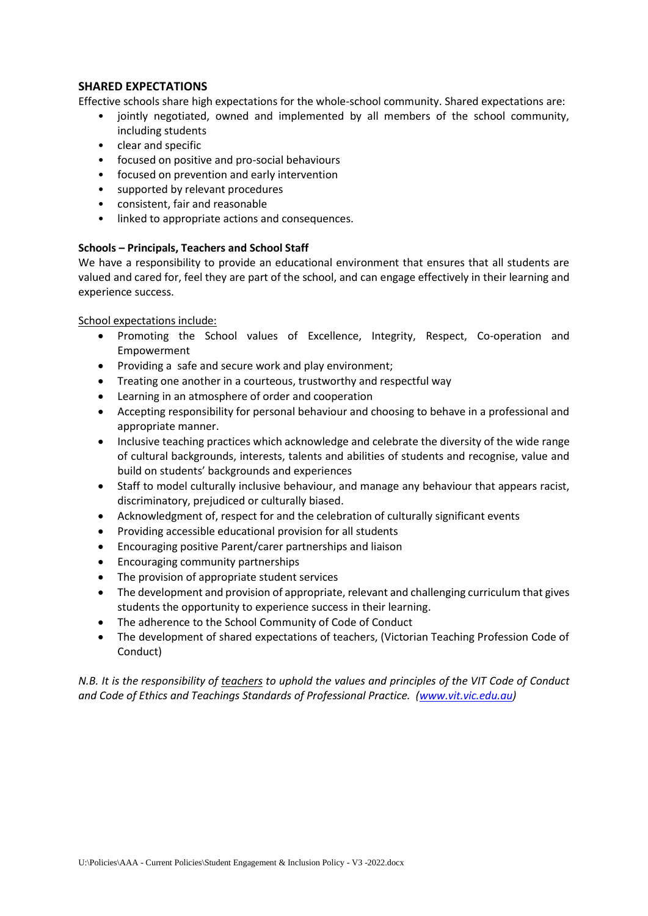#### **SHARED EXPECTATIONS**

Effective schools share high expectations for the whole-school community. Shared expectations are:

- jointly negotiated, owned and implemented by all members of the school community, including students
- clear and specific
- focused on positive and pro-social behaviours
- focused on prevention and early intervention
- supported by relevant procedures
- consistent, fair and reasonable
- linked to appropriate actions and consequences.

#### **Schools – Principals, Teachers and School Staff**

We have a responsibility to provide an educational environment that ensures that all students are valued and cared for, feel they are part of the school, and can engage effectively in their learning and experience success.

School expectations include:

- Promoting the School values of Excellence, Integrity, Respect, Co-operation and Empowerment
- Providing a safe and secure work and play environment;
- Treating one another in a courteous, trustworthy and respectful way
- Learning in an atmosphere of order and cooperation
- Accepting responsibility for personal behaviour and choosing to behave in a professional and appropriate manner.
- Inclusive teaching practices which acknowledge and celebrate the diversity of the wide range of cultural backgrounds, interests, talents and abilities of students and recognise, value and build on students' backgrounds and experiences
- Staff to model culturally inclusive behaviour, and manage any behaviour that appears racist, discriminatory, prejudiced or culturally biased.
- Acknowledgment of, respect for and the celebration of culturally significant events
- Providing accessible educational provision for all students
- Encouraging positive Parent/carer partnerships and liaison
- Encouraging community partnerships
- The provision of appropriate student services
- The development and provision of appropriate, relevant and challenging curriculum that gives students the opportunity to experience success in their learning.
- The adherence to the School Community of Code of Conduct
- The development of shared expectations of teachers, (Victorian Teaching Profession Code of Conduct)

*N.B. It is the responsibility of teachers to uphold the values and principles of the VIT Code of Conduct and Code of Ethics and Teachings Standards of Professional Practice. [\(www.vit.vic.edu.au\)](http://www.vit.vic.edu.au/)*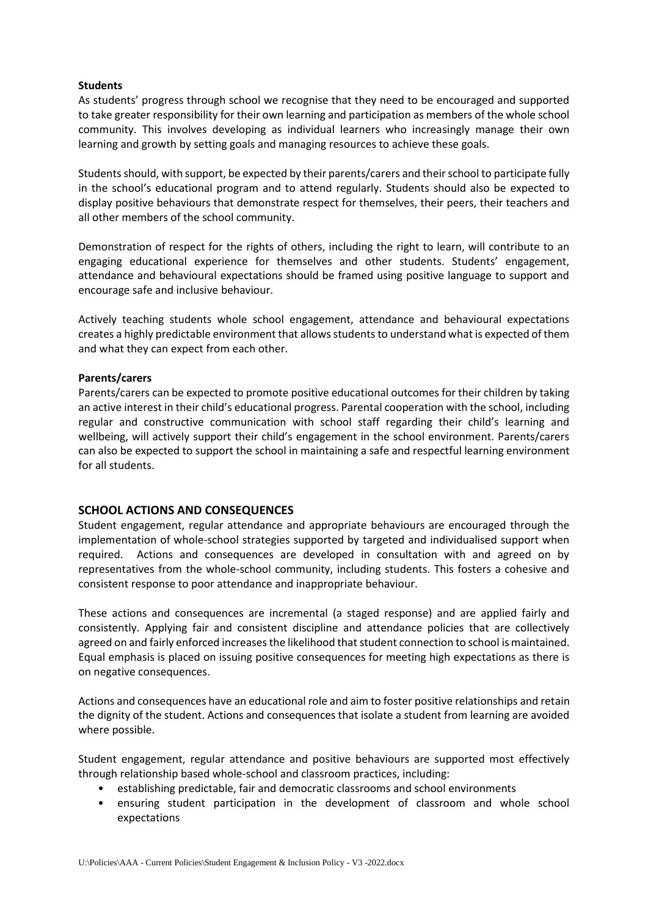#### **Students**

As students' progress through school we recognise that they need to be encouraged and supported to take greater responsibility for their own learning and participation as members of the whole school community. This involves developing as individual learners who increasingly manage their own learning and growth by setting goals and managing resources to achieve these goals.

Students should, with support, be expected by their parents/carers and their school to participate fully in the school's educational program and to attend regularly. Students should also be expected to display positive behaviours that demonstrate respect for themselves, their peers, their teachers and all other members of the school community.

Demonstration of respect for the rights of others, including the right to learn, will contribute to an engaging educational experience for themselves and other students. Students' engagement, attendance and behavioural expectations should be framed using positive language to support and encourage safe and inclusive behaviour.

Actively teaching students whole school engagement, attendance and behavioural expectations creates a highly predictable environment that allows students to understand what is expected of them and what they can expect from each other.

#### **Parents/carers**

Parents/carers can be expected to promote positive educational outcomes for their children by taking an active interest in their child's educational progress. Parental cooperation with the school, including regular and constructive communication with school staff regarding their child's learning and wellbeing, will actively support their child's engagement in the school environment. Parents/carers can also be expected to support the school in maintaining a safe and respectful learning environment for all students.

#### **SCHOOL ACTIONS AND CONSEQUENCES**

Student engagement, regular attendance and appropriate behaviours are encouraged through the implementation of whole-school strategies supported by targeted and individualised support when required. Actions and consequences are developed in consultation with and agreed on by representatives from the whole-school community, including students. This fosters a cohesive and consistent response to poor attendance and inappropriate behaviour.

These actions and consequences are incremental (a staged response) and are applied fairly and consistently. Applying fair and consistent discipline and attendance policies that are collectively agreed on and fairly enforced increases the likelihood that student connection to school is maintained. Equal emphasis is placed on issuing positive consequences for meeting high expectations as there is on negative consequences.

Actions and consequences have an educational role and aim to foster positive relationships and retain the dignity of the student. Actions and consequences that isolate a student from learning are avoided where possible.

Student engagement, regular attendance and positive behaviours are supported most effectively through relationship based whole-school and classroom practices, including:

- establishing predictable, fair and democratic classrooms and school environments
- ensuring student participation in the development of classroom and whole school expectations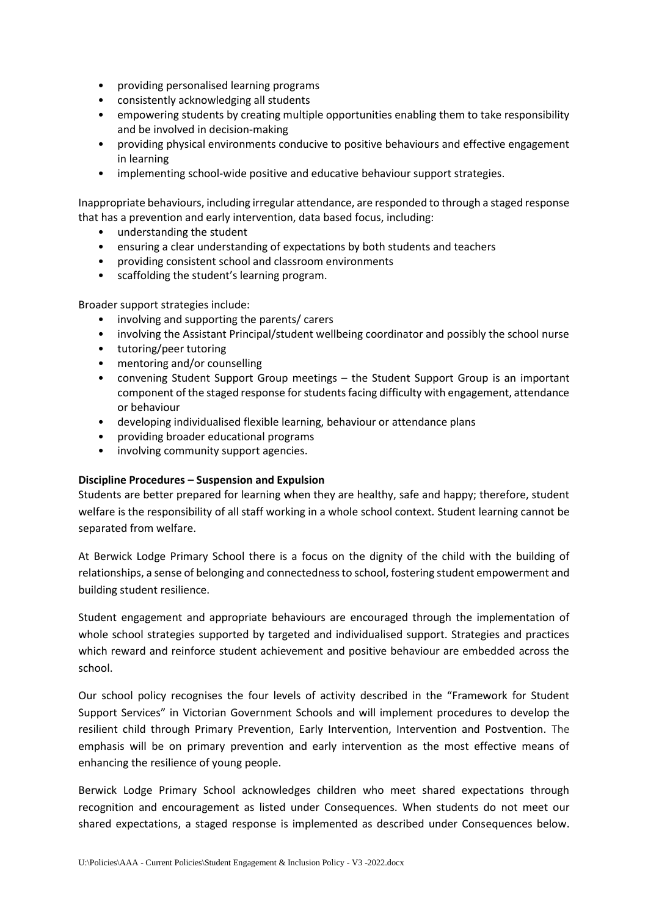- providing personalised learning programs
- consistently acknowledging all students
- empowering students by creating multiple opportunities enabling them to take responsibility and be involved in decision-making
- providing physical environments conducive to positive behaviours and effective engagement in learning
- implementing school-wide positive and educative behaviour support strategies.

Inappropriate behaviours, including irregular attendance, are responded to through a staged response that has a prevention and early intervention, data based focus, including:

- understanding the student
- ensuring a clear understanding of expectations by both students and teachers
- providing consistent school and classroom environments
- scaffolding the student's learning program.

Broader support strategies include:

- involving and supporting the parents/ carers
- involving the Assistant Principal/student wellbeing coordinator and possibly the school nurse
- tutoring/peer tutoring
- mentoring and/or counselling
- convening Student Support Group meetings the Student Support Group is an important component of the staged response for students facing difficulty with engagement, attendance or behaviour
- developing individualised flexible learning, behaviour or attendance plans
- providing broader educational programs
- involving community support agencies.

#### **Discipline Procedures – Suspension and Expulsion**

Students are better prepared for learning when they are healthy, safe and happy; therefore, student welfare is the responsibility of all staff working in a whole school context*.* Student learning cannot be separated from welfare.

At Berwick Lodge Primary School there is a focus on the dignity of the child with the building of relationships, a sense of belonging and connectedness to school, fostering student empowerment and building student resilience.

Student engagement and appropriate behaviours are encouraged through the implementation of whole school strategies supported by targeted and individualised support. Strategies and practices which reward and reinforce student achievement and positive behaviour are embedded across the school.

Our school policy recognises the four levels of activity described in the "Framework for Student Support Services" in Victorian Government Schools and will implement procedures to develop the resilient child through Primary Prevention, Early Intervention, Intervention and Postvention. The emphasis will be on primary prevention and early intervention as the most effective means of enhancing the resilience of young people.

Berwick Lodge Primary School acknowledges children who meet shared expectations through recognition and encouragement as listed under Consequences. When students do not meet our shared expectations, a staged response is implemented as described under Consequences below.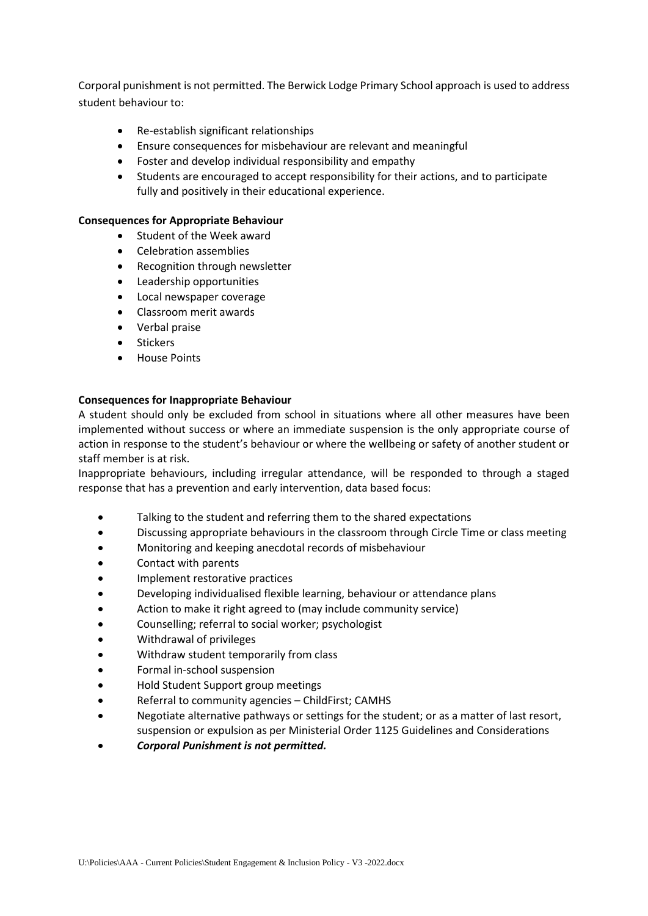Corporal punishment is not permitted. The Berwick Lodge Primary School approach is used to address student behaviour to:

- Re-establish significant relationships
- Ensure consequences for misbehaviour are relevant and meaningful
- Foster and develop individual responsibility and empathy
- Students are encouraged to accept responsibility for their actions, and to participate fully and positively in their educational experience.

#### **Consequences for Appropriate Behaviour**

- Student of the Week award
- Celebration assemblies
- Recognition through newsletter
- Leadership opportunities
- Local newspaper coverage
- Classroom merit awards
- Verbal praise
- Stickers
- House Points

#### **Consequences for Inappropriate Behaviour**

A student should only be excluded from school in situations where all other measures have been implemented without success or where an immediate suspension is the only appropriate course of action in response to the student's behaviour or where the wellbeing or safety of another student or staff member is at risk.

Inappropriate behaviours, including irregular attendance, will be responded to through a staged response that has a prevention and early intervention, data based focus:

- Talking to the student and referring them to the shared expectations
- Discussing appropriate behaviours in the classroom through Circle Time or class meeting
- Monitoring and keeping anecdotal records of misbehaviour
- Contact with parents
- Implement restorative practices
- Developing individualised flexible learning, behaviour or attendance plans
- Action to make it right agreed to (may include community service)
- Counselling; referral to social worker; psychologist
- Withdrawal of privileges
- Withdraw student temporarily from class
- Formal in-school suspension
- Hold Student Support group meetings
- Referral to community agencies ChildFirst; CAMHS
- Negotiate alternative pathways or settings for the student; or as a matter of last resort, suspension or expulsion as per Ministerial Order 1125 Guidelines and Considerations
- *Corporal Punishment is not permitted.*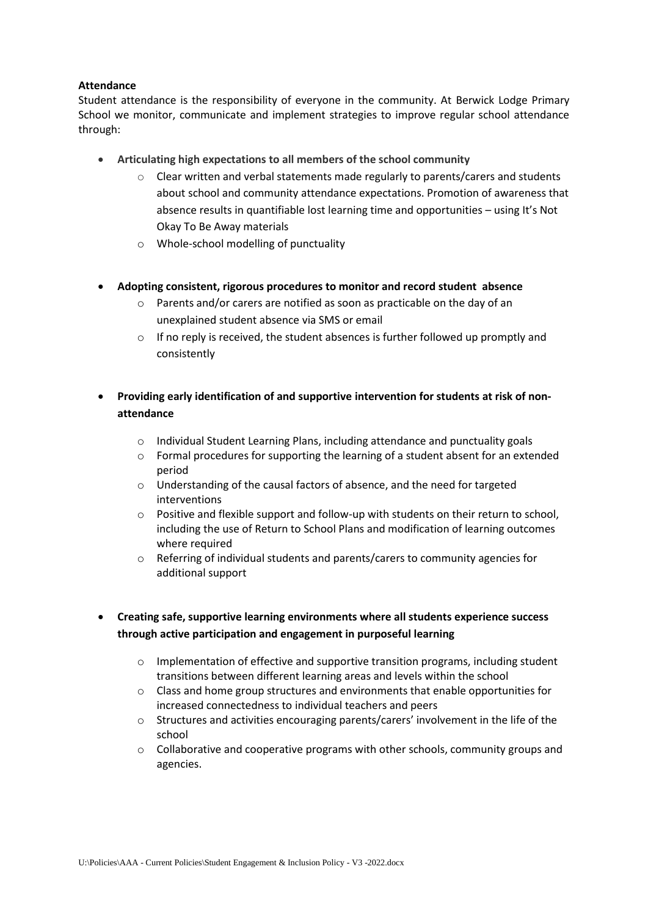#### **Attendance**

Student attendance is the responsibility of everyone in the community. At Berwick Lodge Primary School we monitor, communicate and implement strategies to improve regular school attendance through:

- **Articulating high expectations to all members of the school community**
	- $\circ$  Clear written and verbal statements made regularly to parents/carers and students about school and community attendance expectations. Promotion of awareness that absence results in quantifiable lost learning time and opportunities – using It's Not Okay To Be Away materials
	- o Whole-school modelling of punctuality
- **Adopting consistent, rigorous procedures to monitor and record student absence**
	- o Parents and/or carers are notified as soon as practicable on the day of an unexplained student absence via SMS or email
	- $\circ$  If no reply is received, the student absences is further followed up promptly and consistently
- **Providing early identification of and supportive intervention for students at risk of nonattendance**
	- o Individual Student Learning Plans, including attendance and punctuality goals
	- $\circ$  Formal procedures for supporting the learning of a student absent for an extended period
	- o Understanding of the causal factors of absence, and the need for targeted interventions
	- o Positive and flexible support and follow-up with students on their return to school, including the use of Return to School Plans and modification of learning outcomes where required
	- o Referring of individual students and parents/carers to community agencies for additional support
- **Creating safe, supportive learning environments where all students experience success through active participation and engagement in purposeful learning**
	- $\circ$  Implementation of effective and supportive transition programs, including student transitions between different learning areas and levels within the school
	- o Class and home group structures and environments that enable opportunities for increased connectedness to individual teachers and peers
	- o Structures and activities encouraging parents/carers' involvement in the life of the school
	- $\circ$  Collaborative and cooperative programs with other schools, community groups and agencies.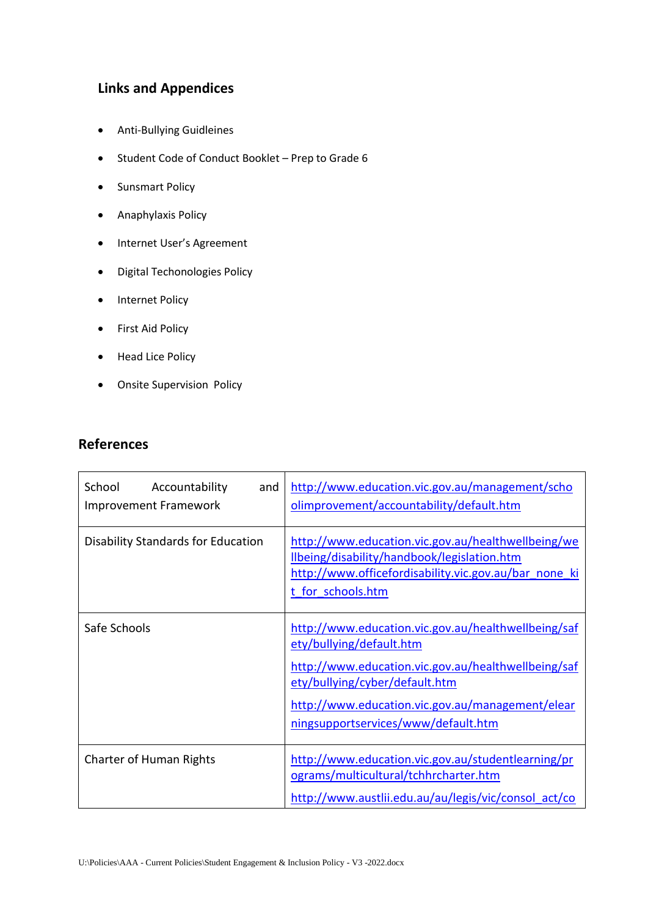# **Links and Appendices**

- Anti-Bullying Guidleines
- Student Code of Conduct Booklet Prep to Grade 6
- Sunsmart Policy
- Anaphylaxis Policy
- Internet User's Agreement
- Digital Techonologies Policy
- Internet Policy
- First Aid Policy
- Head Lice Policy
- Onsite Supervision Policy

## **References**

| School<br>Accountability<br>and<br><b>Improvement Framework</b> | http://www.education.vic.gov.au/management/scho<br>olimprovement/accountability/default.htm                                                                                                                                                                         |
|-----------------------------------------------------------------|---------------------------------------------------------------------------------------------------------------------------------------------------------------------------------------------------------------------------------------------------------------------|
| <b>Disability Standards for Education</b>                       | http://www.education.vic.gov.au/healthwellbeing/we<br>Ilbeing/disability/handbook/legislation.htm<br>http://www.officefordisability.vic.gov.au/bar_none_ki<br>t for schools.htm                                                                                     |
| Safe Schools                                                    | http://www.education.vic.gov.au/healthwellbeing/saf<br>ety/bullying/default.htm<br>http://www.education.vic.gov.au/healthwellbeing/saf<br>ety/bullying/cyber/default.htm<br>http://www.education.vic.gov.au/management/elear<br>ningsupportservices/www/default.htm |
| <b>Charter of Human Rights</b>                                  | http://www.education.vic.gov.au/studentlearning/pr<br>ograms/multicultural/tchhrcharter.htm<br>http://www.austlii.edu.au/au/legis/vic/consol act/co                                                                                                                 |